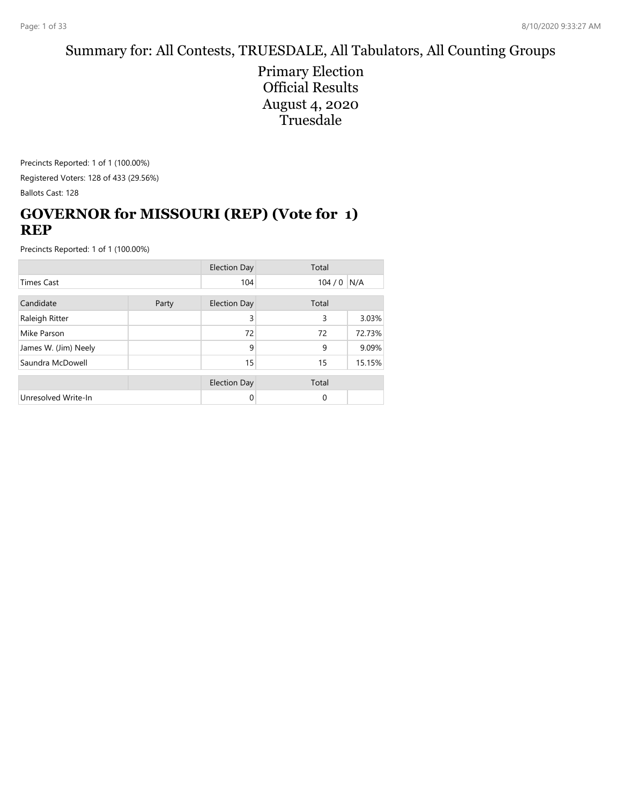## Summary for: All Contests, TRUESDALE, All Tabulators, All Counting Groups

Primary Election Official Results August 4, 2020 Truesdale

Precincts Reported: 1 of 1 (100.00%) Registered Voters: 128 of 433 (29.56%) Ballots Cast: 128

## **GOVERNOR for MISSOURI (REP) (Vote for 1) REP**

|                      |       | <b>Election Day</b> | Total |        |
|----------------------|-------|---------------------|-------|--------|
| Times Cast           |       | 104                 | 104/0 | N/A    |
| Candidate            | Party | <b>Election Day</b> | Total |        |
| Raleigh Ritter       |       | 3                   | 3     | 3.03%  |
| Mike Parson          |       | 72                  | 72    | 72.73% |
| James W. (Jim) Neely |       | 9                   | 9     | 9.09%  |
| Saundra McDowell     |       | 15                  | 15    | 15.15% |
|                      |       | <b>Election Day</b> | Total |        |
| Unresolved Write-In  |       | 0                   | 0     |        |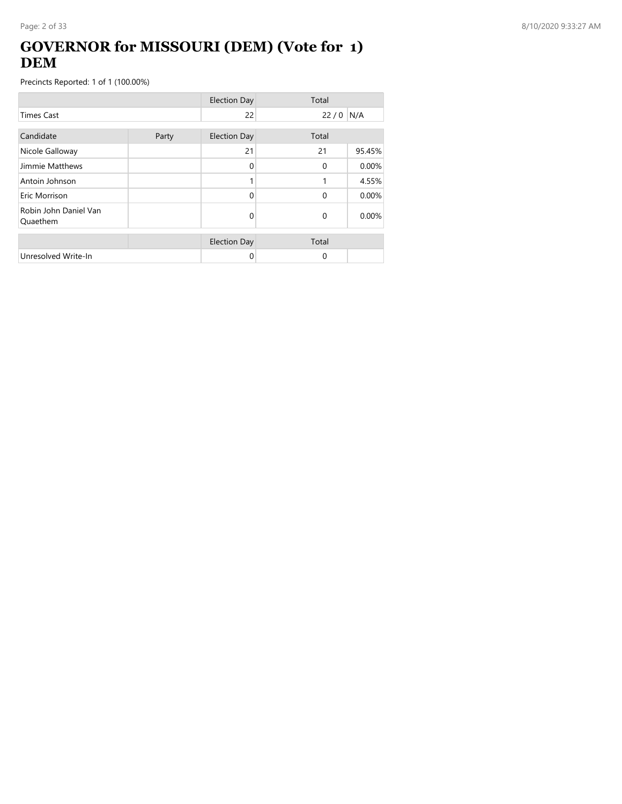## **GOVERNOR for MISSOURI (DEM) (Vote for 1) DEM**

|                                   |       | <b>Election Day</b> | Total       |        |
|-----------------------------------|-------|---------------------|-------------|--------|
| <b>Times Cast</b>                 |       | 22                  | 22/0        | N/A    |
| Candidate                         | Party | <b>Election Day</b> | Total       |        |
| Nicole Galloway                   |       | 21                  | 21          | 95.45% |
| Jimmie Matthews                   |       | 0                   | $\Omega$    | 0.00%  |
| Antoin Johnson                    |       |                     | 1           | 4.55%  |
| Eric Morrison                     |       | 0                   | $\Omega$    | 0.00%  |
| Robin John Daniel Van<br>Quaethem |       | 0                   | $\mathbf 0$ | 0.00%  |
|                                   |       | <b>Election Day</b> | Total       |        |
| Unresolved Write-In               |       | 0                   | $\Omega$    |        |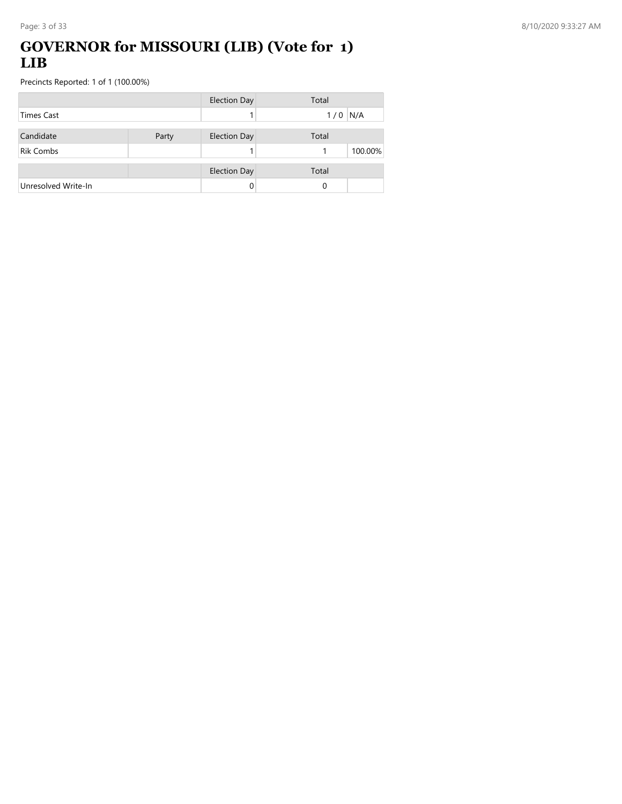#### **GOVERNOR for MISSOURI (LIB) (Vote for 1) LIB**

|                     |       | <b>Election Day</b> | Total      |
|---------------------|-------|---------------------|------------|
| <b>Times Cast</b>   |       |                     | N/A<br>1/0 |
| Candidate           | Party | <b>Election Day</b> | Total      |
| <b>Rik Combs</b>    |       |                     | 100.00%    |
|                     |       | <b>Election Day</b> | Total      |
| Unresolved Write-In |       |                     | 0          |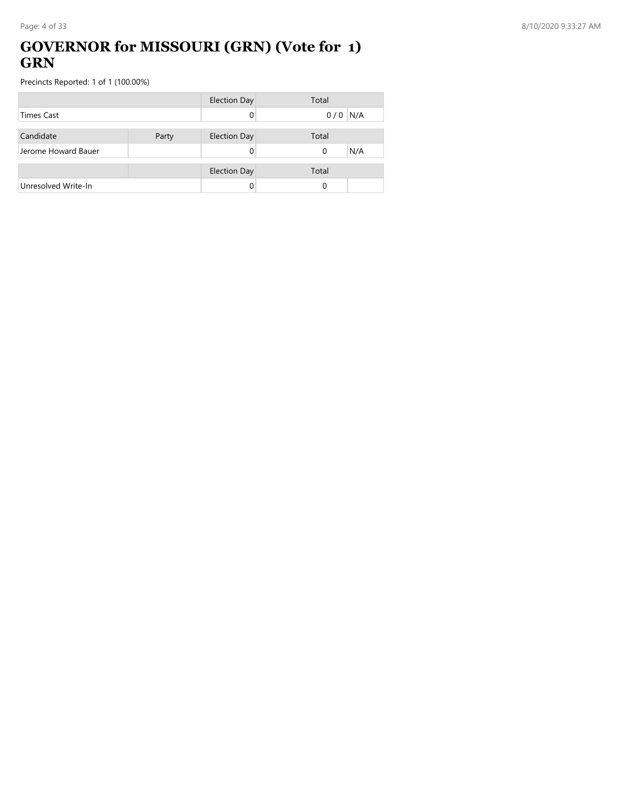### **GOVERNOR for MISSOURI (GRN) (Vote for 1) GRN**

|                     |       | Election Day        | Total    |     |
|---------------------|-------|---------------------|----------|-----|
| <b>Times Cast</b>   |       |                     | 0/0      | N/A |
|                     |       |                     |          |     |
| Candidate           | Party | <b>Election Day</b> | Total    |     |
| Jerome Howard Bauer |       |                     | $\Omega$ | N/A |
|                     |       |                     |          |     |
|                     |       | <b>Election Day</b> | Total    |     |
| Unresolved Write-In |       |                     | 0        |     |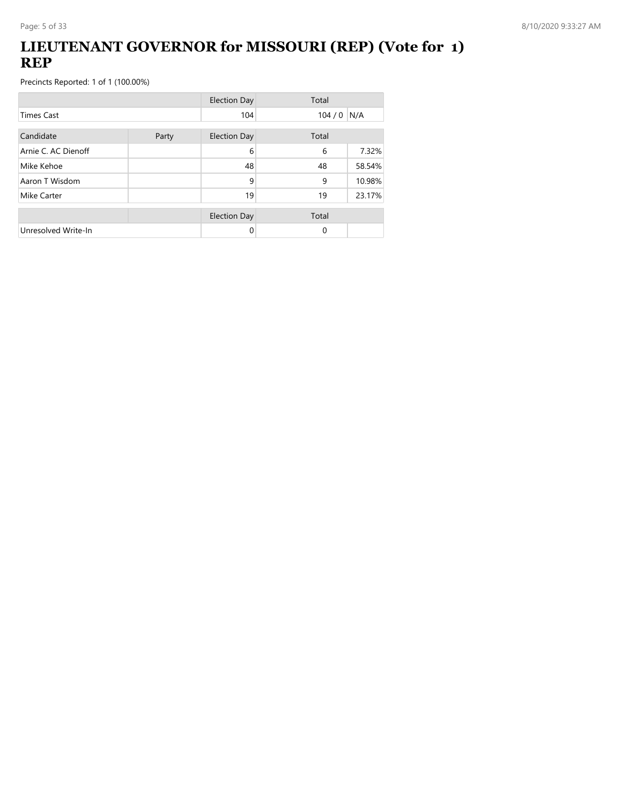## **LIEUTENANT GOVERNOR for MISSOURI (REP) (Vote for 1) REP**

|                     |       | <b>Election Day</b> | Total       |        |
|---------------------|-------|---------------------|-------------|--------|
| <b>Times Cast</b>   |       | 104                 | $104/0$ N/A |        |
| Candidate           | Party | <b>Election Day</b> | Total       |        |
| Arnie C. AC Dienoff |       | 6                   | 6           | 7.32%  |
| Mike Kehoe          |       | 48                  | 48          | 58.54% |
| Aaron T Wisdom      |       | 9                   | 9           | 10.98% |
| Mike Carter         |       | 19                  | 19          | 23.17% |
|                     |       | <b>Election Day</b> | Total       |        |
| Unresolved Write-In |       | 0                   | $\Omega$    |        |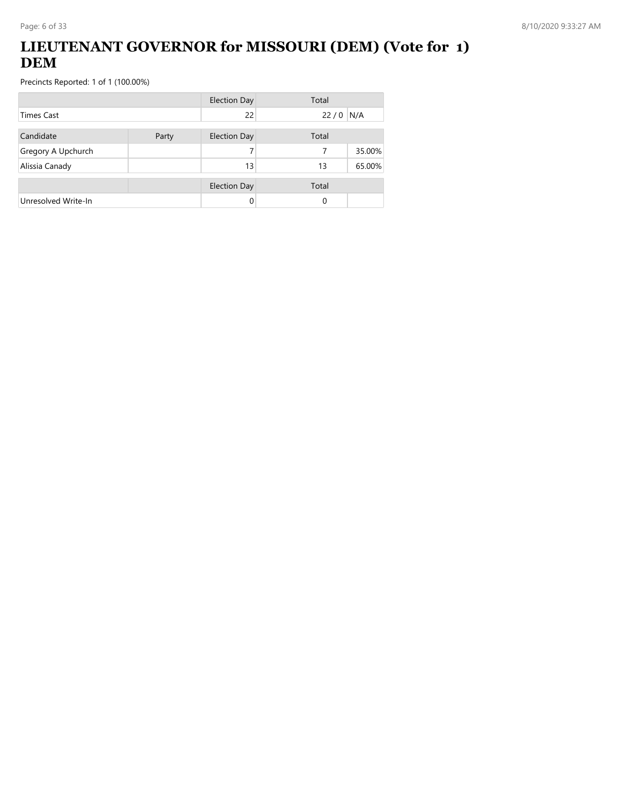## **LIEUTENANT GOVERNOR for MISSOURI (DEM) (Vote for 1) DEM**

|                     |       | <b>Election Day</b> | Total |        |
|---------------------|-------|---------------------|-------|--------|
| Times Cast          |       | 22                  | 22/0  | N/A    |
| Candidate           | Party | <b>Election Day</b> | Total |        |
| Gregory A Upchurch  |       |                     | 7     | 35.00% |
| Alissia Canady      |       | 13                  | 13    | 65.00% |
|                     |       | <b>Election Day</b> | Total |        |
| Unresolved Write-In |       |                     | 0     |        |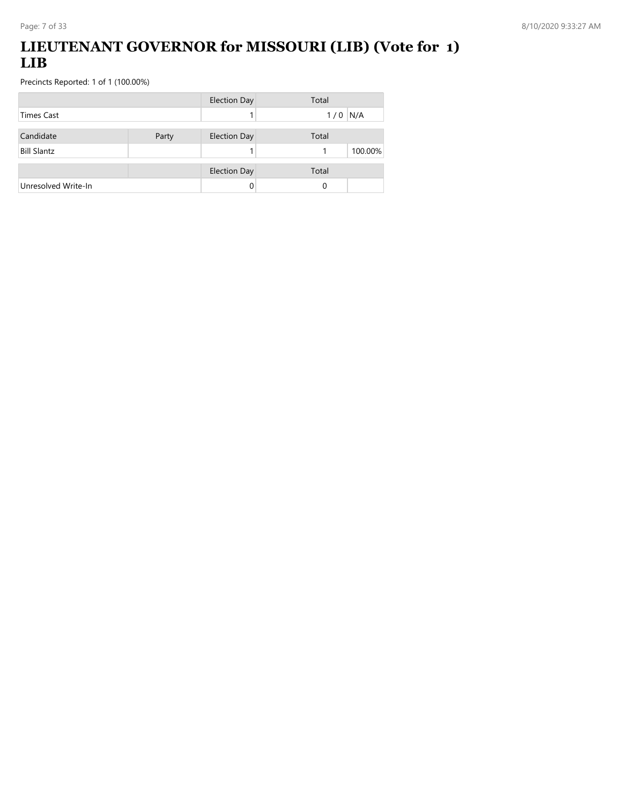## **LIEUTENANT GOVERNOR for MISSOURI (LIB) (Vote for 1) LIB**

|                     |       | <b>Election Day</b> | Total        |
|---------------------|-------|---------------------|--------------|
| Times Cast          |       |                     | N/A<br>1/0   |
| Candidate           | Party | <b>Election Day</b> | Total        |
| <b>Bill Slantz</b>  |       |                     | 100.00%<br>1 |
|                     |       | <b>Election Day</b> | Total        |
| Unresolved Write-In |       | 0                   | 0            |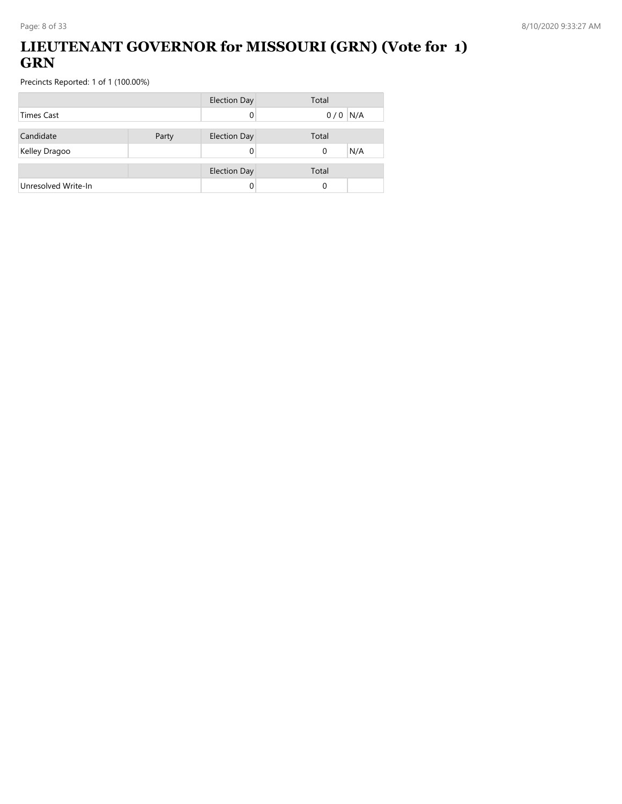## **LIEUTENANT GOVERNOR for MISSOURI (GRN) (Vote for 1) GRN**

|                     |       | <b>Election Day</b> | Total           |
|---------------------|-------|---------------------|-----------------|
| <b>Times Cast</b>   |       |                     | $0/0$ N/A       |
| Candidate           | Party | <b>Election Day</b> | Total           |
| Kelley Dragoo       |       |                     | N/A<br>$\Omega$ |
|                     |       |                     |                 |
|                     |       | <b>Election Day</b> | Total           |
| Unresolved Write-In |       |                     | 0               |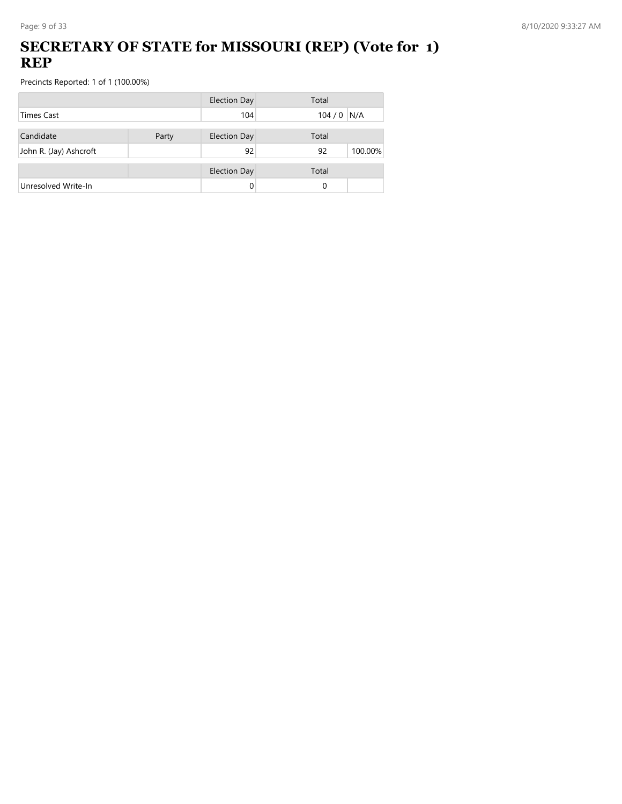## **SECRETARY OF STATE for MISSOURI (REP) (Vote for 1) REP**

|                        |       | <b>Election Day</b> | Total         |
|------------------------|-------|---------------------|---------------|
| <b>Times Cast</b>      |       | 104                 | $104/0$ N/A   |
| Candidate              | Party | <b>Election Day</b> | Total         |
| John R. (Jay) Ashcroft |       | 92                  | 92<br>100.00% |
|                        |       | <b>Election Day</b> | Total         |
| Unresolved Write-In    |       | 0                   | 0             |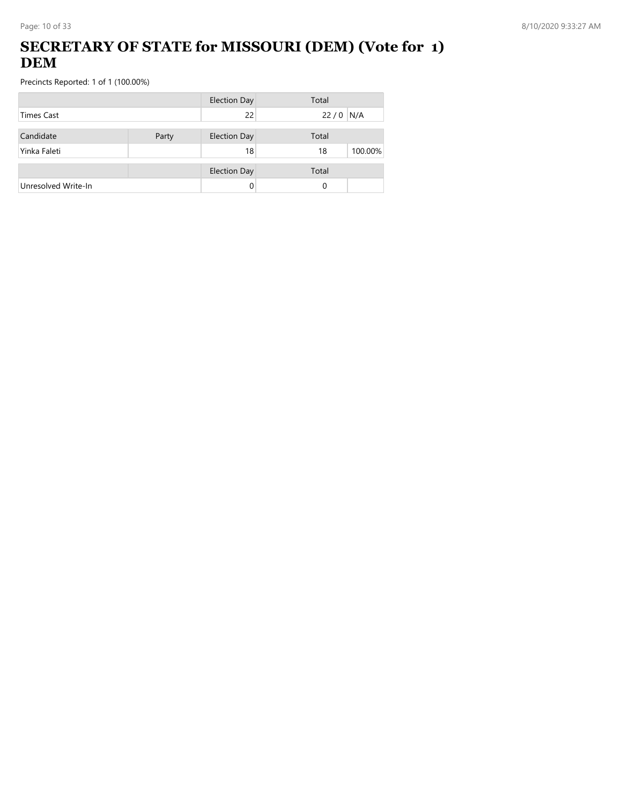## **SECRETARY OF STATE for MISSOURI (DEM) (Vote for 1) DEM**

|                     |       | <b>Election Day</b> | Total         |
|---------------------|-------|---------------------|---------------|
| Times Cast          |       | 22                  | $22/0$ N/A    |
| Candidate           | Party | <b>Election Day</b> | Total         |
| Yinka Faleti        |       | 18                  | 100.00%<br>18 |
|                     |       | <b>Election Day</b> | Total         |
| Unresolved Write-In |       | 0                   | 0             |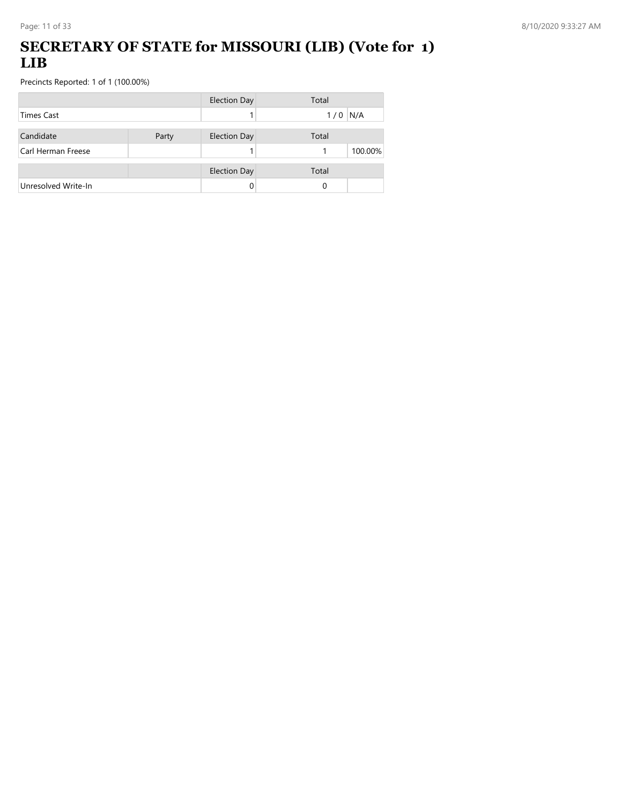### **SECRETARY OF STATE for MISSOURI (LIB) (Vote for 1) LIB**

|                     |       | <b>Election Day</b> | Total        |
|---------------------|-------|---------------------|--------------|
| <b>Times Cast</b>   |       |                     | N/A<br>1/0   |
| Candidate           | Party | <b>Election Day</b> | Total        |
| Carl Herman Freese  |       |                     | 100.00%<br>1 |
|                     |       | <b>Election Day</b> | Total        |
| Unresolved Write-In |       |                     | 0            |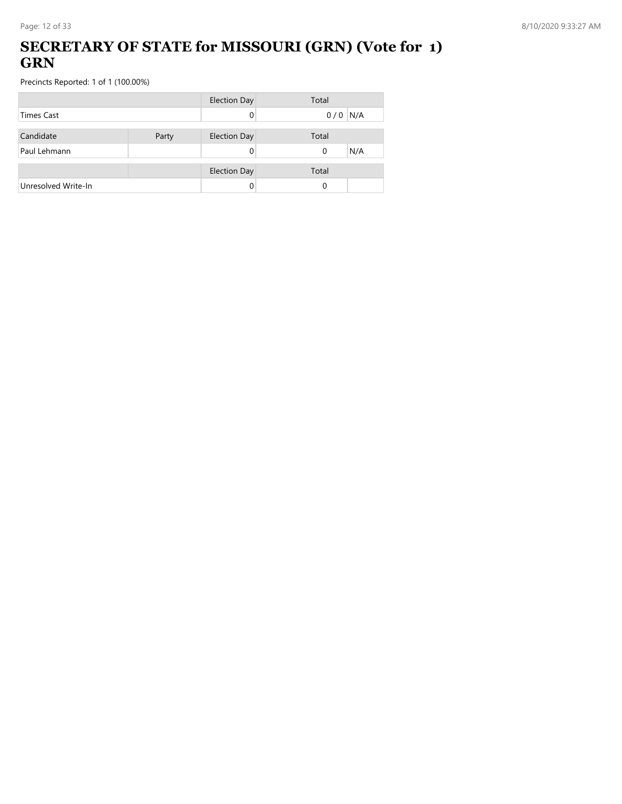### **SECRETARY OF STATE for MISSOURI (GRN) (Vote for 1) GRN**

|                     |       | <b>Election Day</b> | Total           |
|---------------------|-------|---------------------|-----------------|
| <b>Times Cast</b>   |       |                     | $0/0$ N/A       |
| Candidate           | Party | <b>Election Day</b> | Total           |
| Paul Lehmann        |       |                     | N/A<br>$\Omega$ |
|                     |       | <b>Election Day</b> | Total           |
| Unresolved Write-In |       |                     | 0               |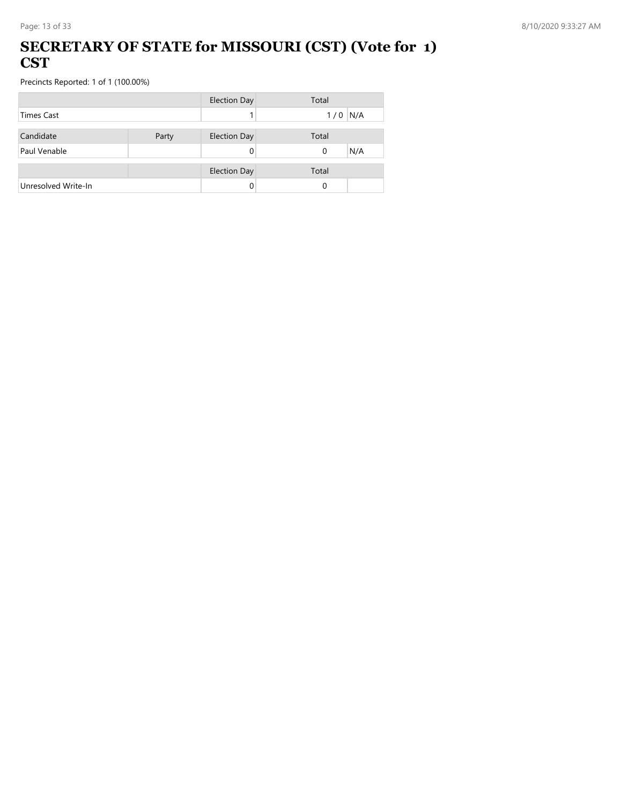#### **SECRETARY OF STATE for MISSOURI (CST) (Vote for 1) CST**

|                     |       | <b>Election Day</b> | Total     |
|---------------------|-------|---------------------|-----------|
| Times Cast          |       |                     | $1/0$ N/A |
|                     |       |                     |           |
| Candidate           | Party | <b>Election Day</b> | Total     |
| Paul Venable        |       |                     | N/A<br>0  |
|                     |       |                     |           |
|                     |       | <b>Election Day</b> | Total     |
| Unresolved Write-In |       |                     | $\Omega$  |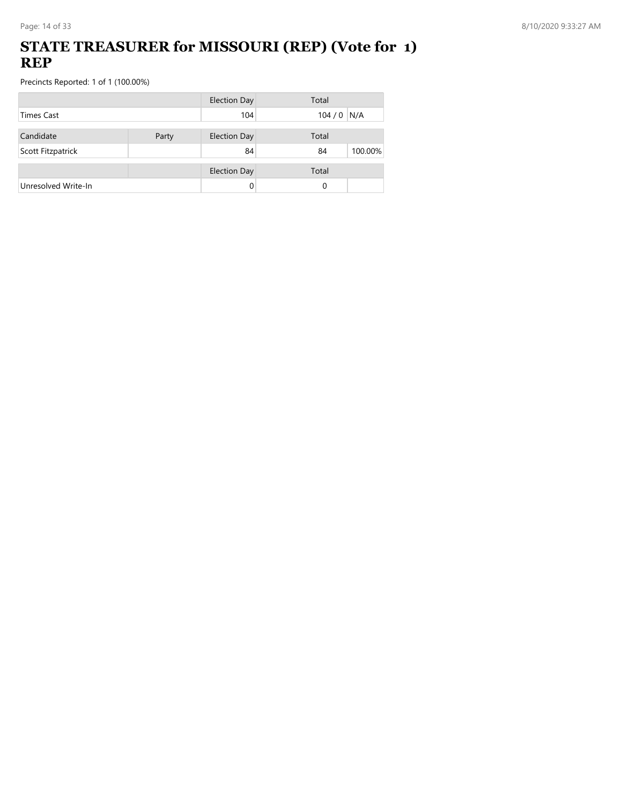### **STATE TREASURER for MISSOURI (REP) (Vote for 1) REP**

|                     |       | <b>Election Day</b> | Total         |
|---------------------|-------|---------------------|---------------|
| <b>Times Cast</b>   |       | 104                 | $104/0$ N/A   |
| Candidate           | Party | <b>Election Day</b> | Total         |
| Scott Fitzpatrick   |       | 84                  | 100.00%<br>84 |
|                     |       | <b>Election Day</b> | Total         |
| Unresolved Write-In |       | 0                   | 0             |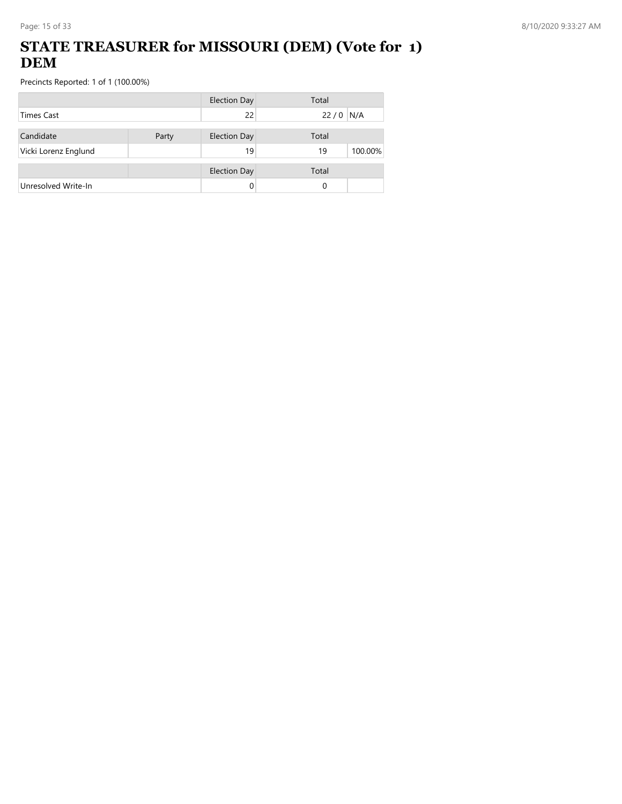## **STATE TREASURER for MISSOURI (DEM) (Vote for 1) DEM**

|                      |       | <b>Election Day</b> | Total         |
|----------------------|-------|---------------------|---------------|
| <b>Times Cast</b>    |       | 22                  | N/A<br>22/0   |
| Candidate            | Party | <b>Election Day</b> | Total         |
| Vicki Lorenz Englund |       | 19                  | 100.00%<br>19 |
|                      |       | <b>Election Day</b> | Total         |
| Unresolved Write-In  |       |                     | 0             |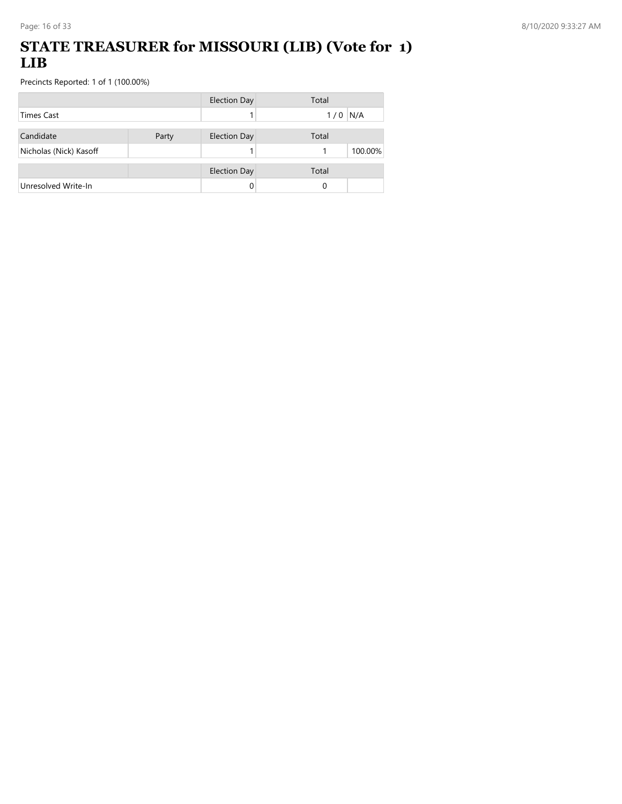#### **STATE TREASURER for MISSOURI (LIB) (Vote for 1) LIB**

|                        |       | <b>Election Day</b> | Total      |
|------------------------|-------|---------------------|------------|
| <b>Times Cast</b>      |       |                     | N/A<br>1/0 |
| Candidate              | Party | <b>Election Day</b> | Total      |
| Nicholas (Nick) Kasoff |       |                     | 100.00%    |
|                        |       | <b>Election Day</b> | Total      |
| Unresolved Write-In    |       |                     | 0          |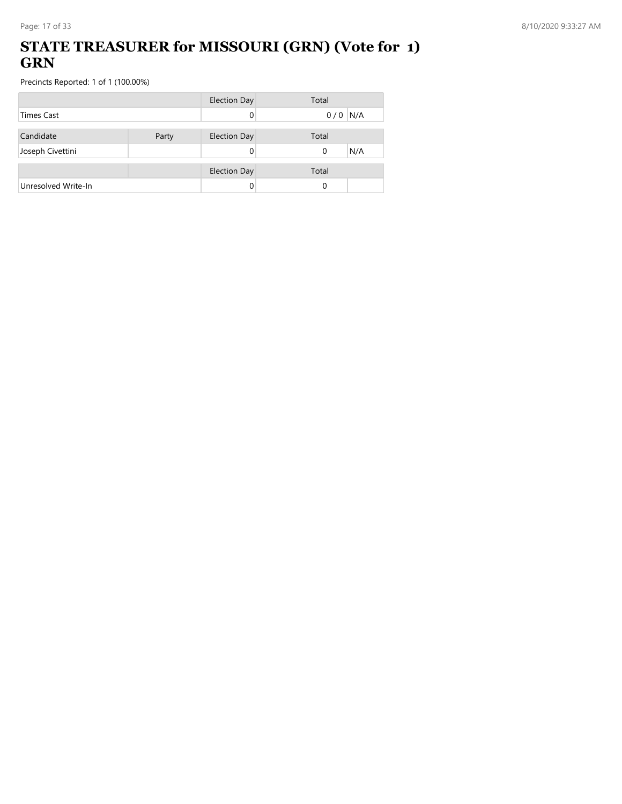### **STATE TREASURER for MISSOURI (GRN) (Vote for 1) GRN**

|                     |       | <b>Election Day</b> | Total           |
|---------------------|-------|---------------------|-----------------|
| <b>Times Cast</b>   |       |                     | $0/0$ N/A       |
| Candidate           | Party | <b>Election Day</b> | Total           |
| Joseph Civettini    |       |                     | N/A<br>$\Omega$ |
|                     |       |                     |                 |
|                     |       | <b>Election Day</b> | Total           |
| Unresolved Write-In |       |                     | 0               |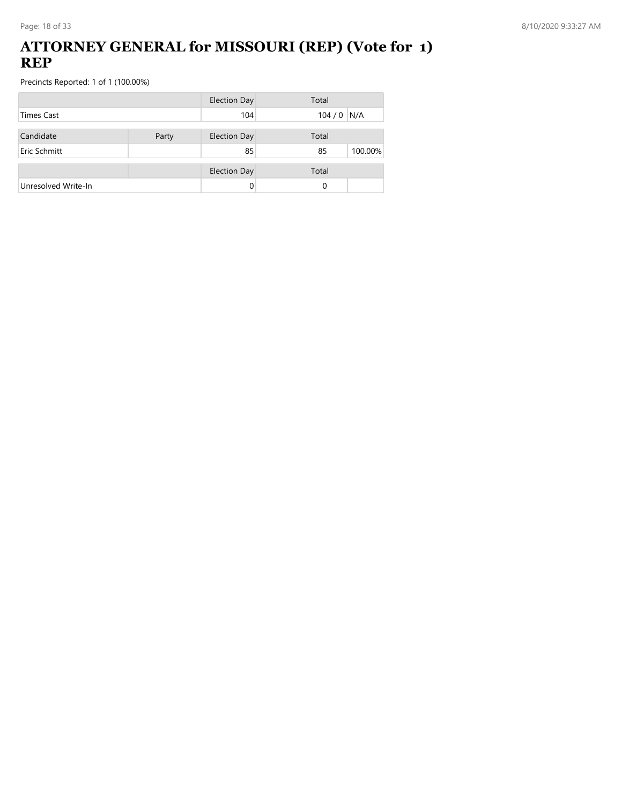#### **ATTORNEY GENERAL for MISSOURI (REP) (Vote for 1) REP**

|                     |       | <b>Election Day</b> | Total         |
|---------------------|-------|---------------------|---------------|
| <b>Times Cast</b>   |       | 104                 | $104/0$ N/A   |
| Candidate           | Party | <b>Election Day</b> | Total         |
| Eric Schmitt        |       | 85                  | 100.00%<br>85 |
|                     |       | <b>Election Day</b> | Total         |
| Unresolved Write-In |       | 0                   | 0             |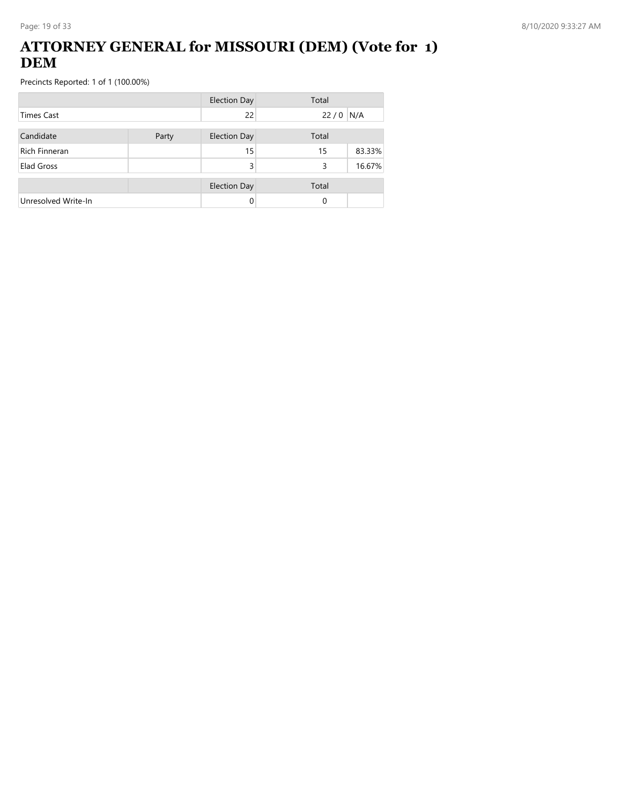### **ATTORNEY GENERAL for MISSOURI (DEM) (Vote for 1) DEM**

|                      |       | <b>Election Day</b> | Total |        |
|----------------------|-------|---------------------|-------|--------|
| <b>Times Cast</b>    |       | 22                  | 22/0  | N/A    |
| Candidate            | Party | <b>Election Day</b> | Total |        |
| <b>Rich Finneran</b> |       | 15                  | 15    | 83.33% |
| Elad Gross           |       | 3                   | 3     | 16.67% |
|                      |       | <b>Election Day</b> | Total |        |
| Unresolved Write-In  |       |                     | 0     |        |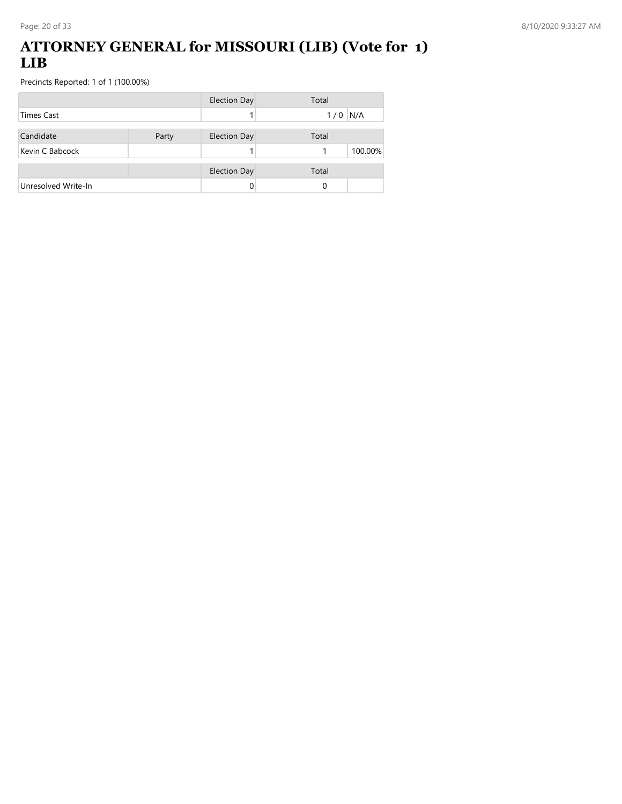#### **ATTORNEY GENERAL for MISSOURI (LIB) (Vote for 1) LIB**

|                     |       | <b>Election Day</b> | Total        |
|---------------------|-------|---------------------|--------------|
| <b>Times Cast</b>   |       |                     | N/A<br>1/0   |
| Candidate           | Party | <b>Election Day</b> | Total        |
| Kevin C Babcock     |       |                     | 100.00%<br>1 |
|                     |       | <b>Election Day</b> | Total        |
| Unresolved Write-In |       |                     | 0            |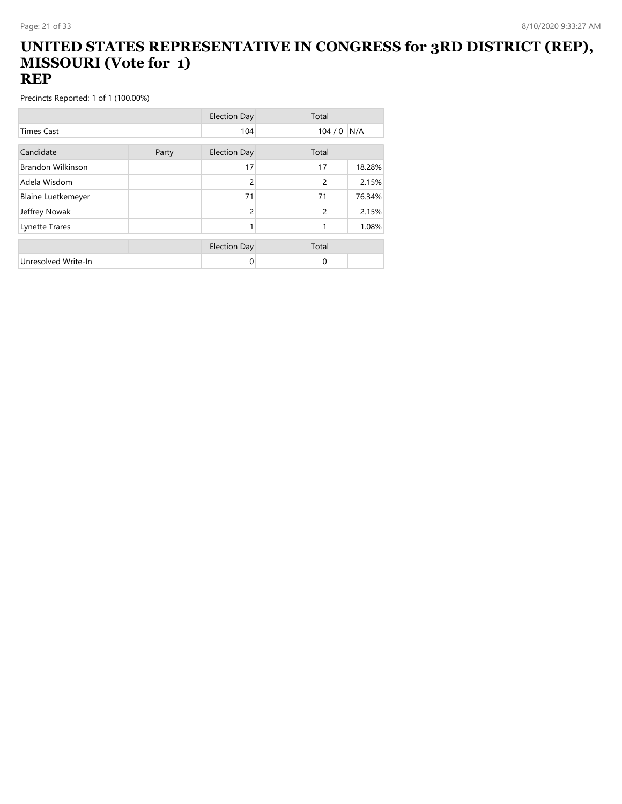#### **UNITED STATES REPRESENTATIVE IN CONGRESS for 3RD DISTRICT (REP), MISSOURI (Vote for 1) REP**

|                           |       | <b>Election Day</b> | Total         |        |
|---------------------------|-------|---------------------|---------------|--------|
| <b>Times Cast</b>         |       | 104                 | 104/0         | N/A    |
| Candidate                 |       |                     |               |        |
|                           | Party | <b>Election Day</b> | Total         |        |
| <b>Brandon Wilkinson</b>  |       | 17                  | 17            | 18.28% |
| Adela Wisdom              |       | 2                   | 2             | 2.15%  |
| <b>Blaine Luetkemeyer</b> |       | 71                  | 71            | 76.34% |
| Jeffrey Nowak             |       | $\overline{2}$      | $\mathcal{P}$ | 2.15%  |
| Lynette Trares            |       |                     | 1             | 1.08%  |
|                           |       |                     |               |        |
|                           |       | <b>Election Day</b> | Total         |        |
| Unresolved Write-In       |       | 0                   | $\Omega$      |        |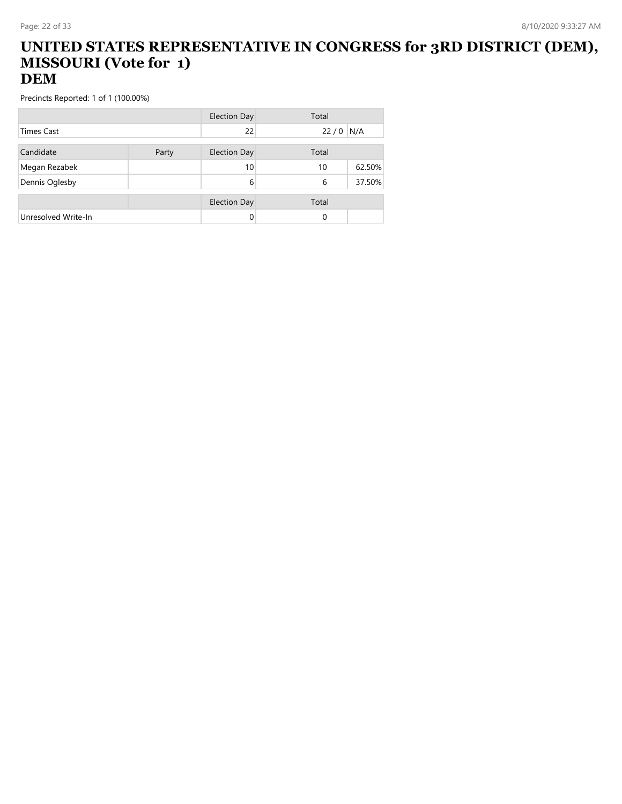#### **UNITED STATES REPRESENTATIVE IN CONGRESS for 3RD DISTRICT (DEM), MISSOURI (Vote for 1) DEM**

|                     |       | <b>Election Day</b> | Total    |        |
|---------------------|-------|---------------------|----------|--------|
| <b>Times Cast</b>   |       | 22                  | 22/0     | N/A    |
| Candidate           | Party | Election Day        | Total    |        |
| Megan Rezabek       |       | 10                  | 10       | 62.50% |
| Dennis Oglesby      |       | 6                   | 6        | 37.50% |
|                     |       | <b>Election Day</b> | Total    |        |
| Unresolved Write-In |       | 0                   | $\Omega$ |        |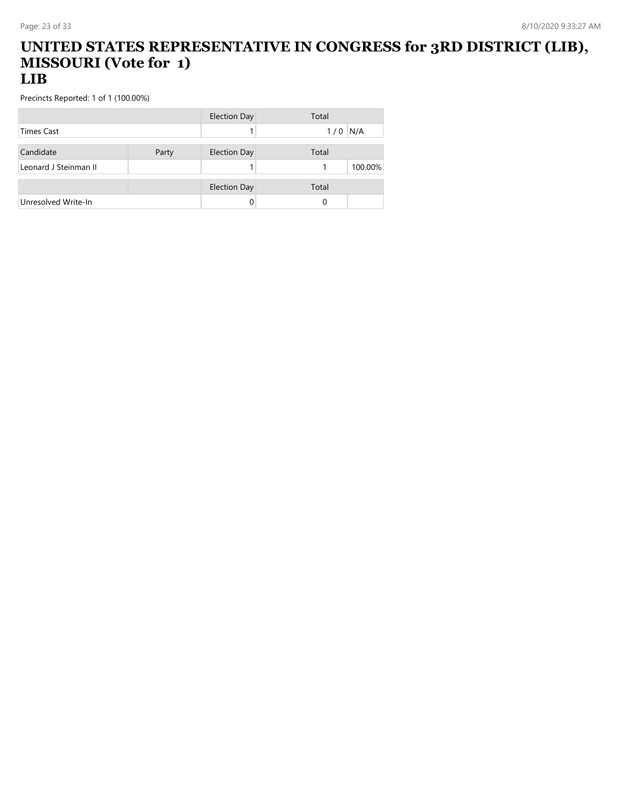#### **UNITED STATES REPRESENTATIVE IN CONGRESS for 3RD DISTRICT (LIB), MISSOURI (Vote for 1) LIB**

|                       |       | <b>Election Day</b> | Total      |
|-----------------------|-------|---------------------|------------|
| <b>Times Cast</b>     |       |                     | N/A<br>1/0 |
|                       |       |                     |            |
| Candidate             | Party | <b>Election Day</b> | Total      |
| Leonard J Steinman II |       |                     | 100.00%    |
|                       |       |                     |            |
|                       |       | <b>Election Day</b> | Total      |
| Unresolved Write-In   |       |                     | 0          |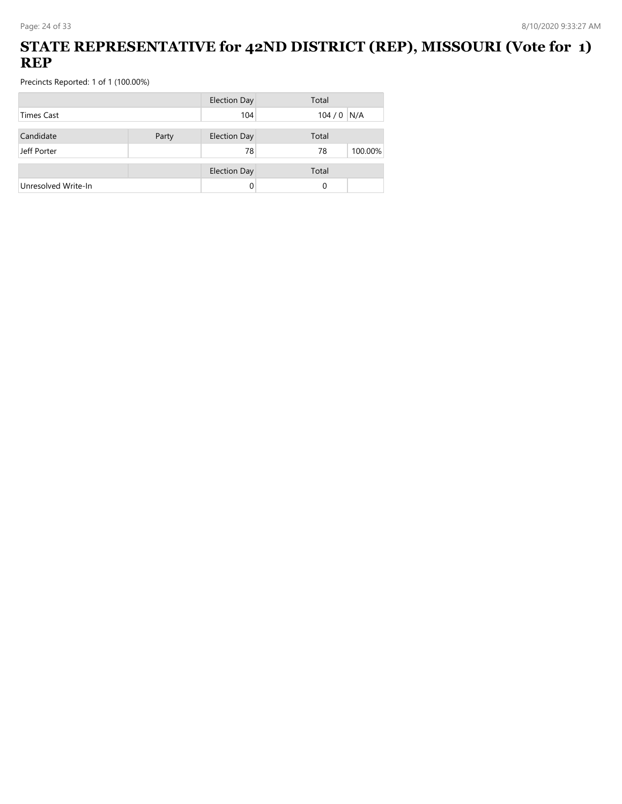## **STATE REPRESENTATIVE for 42ND DISTRICT (REP), MISSOURI (Vote for 1) REP**

|                     |       | <b>Election Day</b> | Total         |
|---------------------|-------|---------------------|---------------|
| <b>Times Cast</b>   |       | 104                 | $104/0$ N/A   |
| Candidate           | Party | <b>Election Day</b> | Total         |
| Jeff Porter         |       | 78                  | 100.00%<br>78 |
|                     |       | <b>Election Day</b> | Total         |
| Unresolved Write-In |       |                     | 0             |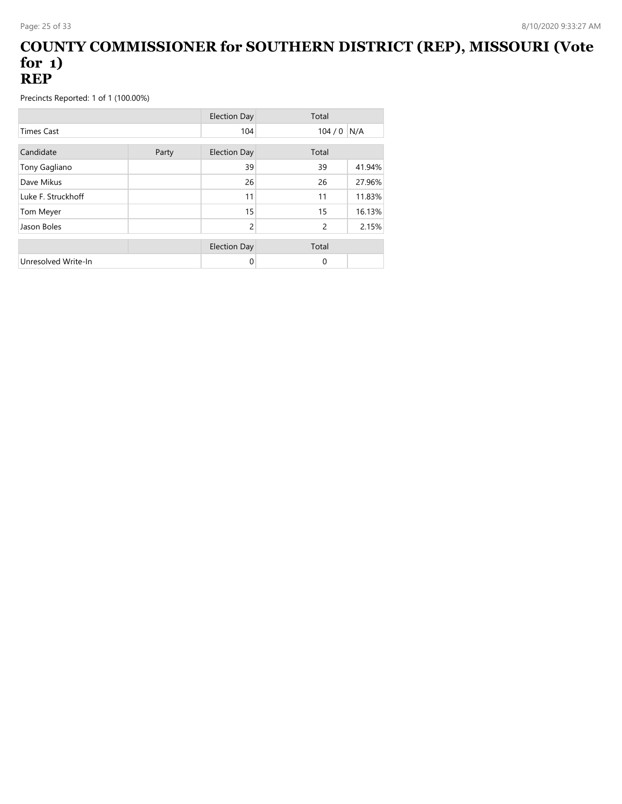#### **COUNTY COMMISSIONER for SOUTHERN DISTRICT (REP), MISSOURI (Vote for 1) REP**

|                     |       | <b>Election Day</b> | Total    |        |
|---------------------|-------|---------------------|----------|--------|
| <b>Times Cast</b>   |       | 104                 | 104/0    | N/A    |
| Candidate           | Party | <b>Election Day</b> | Total    |        |
| Tony Gagliano       |       | 39                  | 39       | 41.94% |
| Dave Mikus          |       | 26                  | 26       | 27.96% |
| Luke F. Struckhoff  |       | 11                  | 11       | 11.83% |
| Tom Meyer           |       | 15                  | 15       | 16.13% |
| Jason Boles         |       | 2                   | 2        | 2.15%  |
|                     |       | <b>Election Day</b> | Total    |        |
| Unresolved Write-In |       | 0                   | $\Omega$ |        |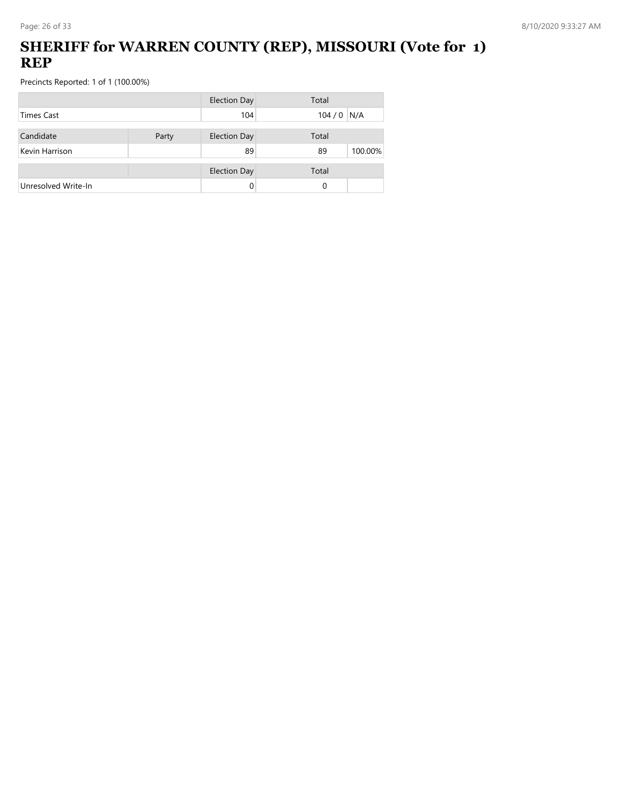## **SHERIFF for WARREN COUNTY (REP), MISSOURI (Vote for 1) REP**

|                     |  | <b>Election Day</b> | Total         |
|---------------------|--|---------------------|---------------|
| <b>Times Cast</b>   |  | 104                 | $104/0$ N/A   |
| Candidate<br>Party  |  | <b>Election Day</b> | Total         |
| Kevin Harrison      |  | 89                  | 100.00%<br>89 |
|                     |  | <b>Election Day</b> | Total         |
| Unresolved Write-In |  | 0                   | 0             |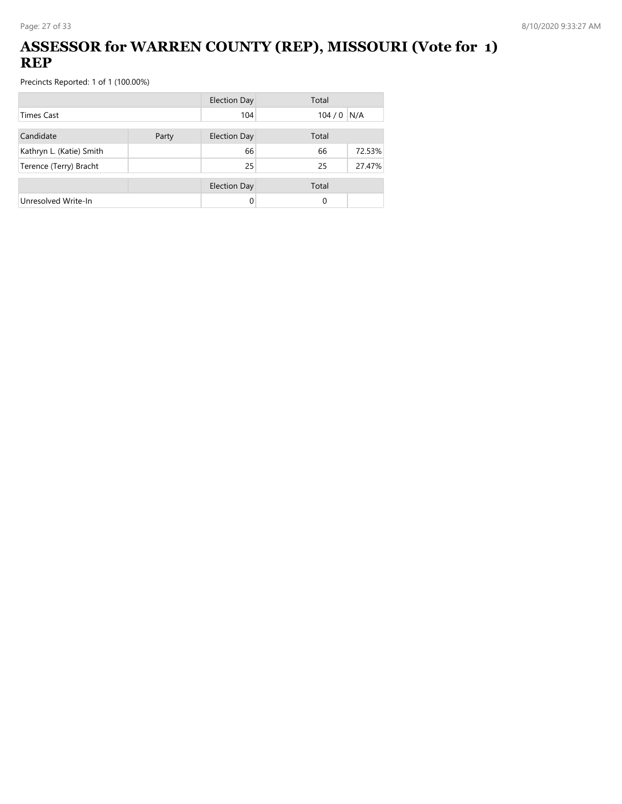## **ASSESSOR for WARREN COUNTY (REP), MISSOURI (Vote for 1) REP**

|                          |       | <b>Election Day</b> | Total |        |
|--------------------------|-------|---------------------|-------|--------|
| <b>Times Cast</b>        |       | 104                 | 104/0 | N/A    |
| Candidate                | Party |                     | Total |        |
| Kathryn L. (Katie) Smith |       | 66                  | 66    | 72.53% |
| Terence (Terry) Bracht   |       | 25                  | 25    | 27.47% |
|                          |       | <b>Election Day</b> | Total |        |
| Unresolved Write-In      |       |                     | 0     |        |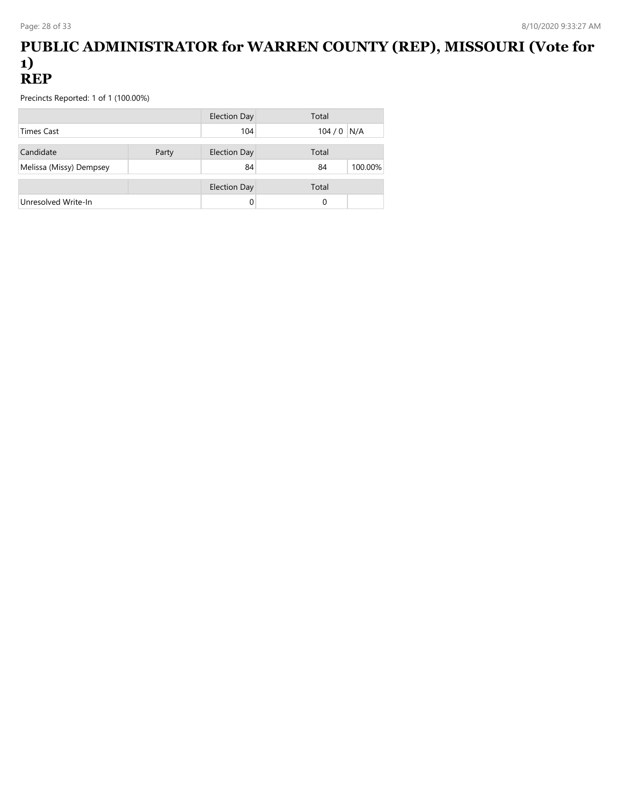#### **PUBLIC ADMINISTRATOR for WARREN COUNTY (REP), MISSOURI (Vote for 1) REP**

|                         |       | <b>Election Day</b> | Total         |
|-------------------------|-------|---------------------|---------------|
| <b>Times Cast</b>       |       | 104                 | $104/0$ N/A   |
| Candidate               | Party | <b>Election Day</b> | Total         |
| Melissa (Missy) Dempsey |       | 84                  | 100.00%<br>84 |
|                         |       | <b>Election Day</b> | Total         |
| Unresolved Write-In     |       |                     | 0             |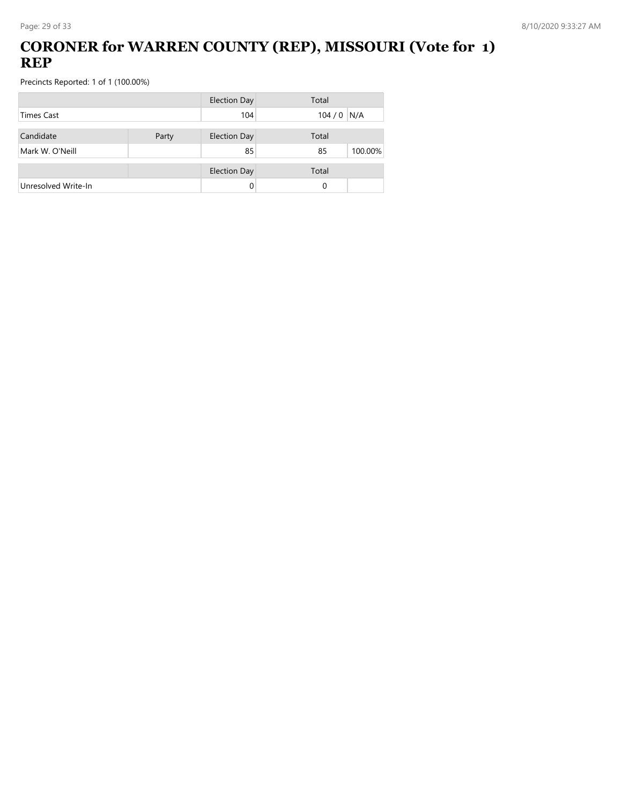## **CORONER for WARREN COUNTY (REP), MISSOURI (Vote for 1) REP**

|                     |  | <b>Election Day</b> | Total         |
|---------------------|--|---------------------|---------------|
| <b>Times Cast</b>   |  | 104                 | $104/0$ N/A   |
| Candidate<br>Party  |  | <b>Election Day</b> | Total         |
| Mark W. O'Neill     |  | 85                  | 100.00%<br>85 |
|                     |  | <b>Election Day</b> | Total         |
| Unresolved Write-In |  | 0                   | 0             |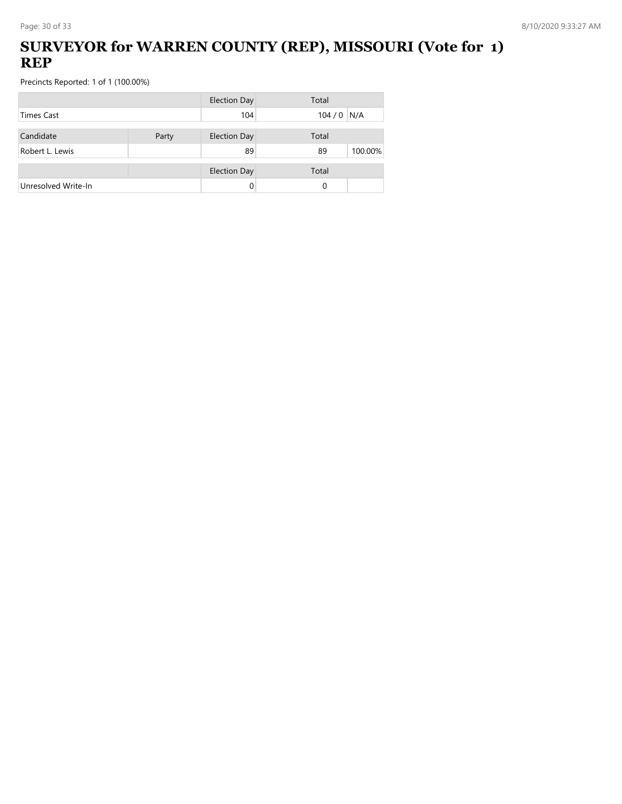## **SURVEYOR for WARREN COUNTY (REP), MISSOURI (Vote for 1) REP**

|                     |  | <b>Election Day</b> | Total         |
|---------------------|--|---------------------|---------------|
| <b>Times Cast</b>   |  | 104                 | $104/0$ N/A   |
| Candidate<br>Party  |  | <b>Election Day</b> | Total         |
| Robert L. Lewis     |  | 89                  | 100.00%<br>89 |
|                     |  | <b>Election Day</b> | Total         |
| Unresolved Write-In |  | 0                   | 0             |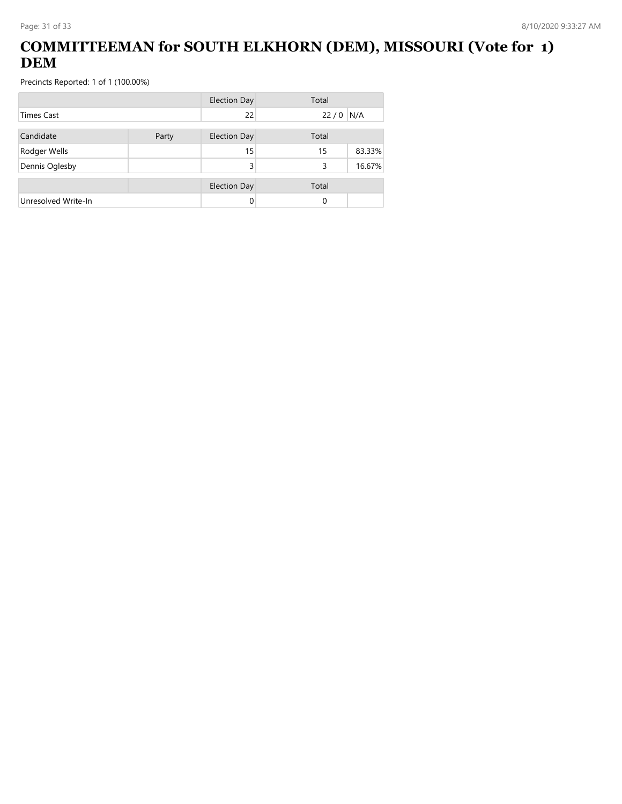## **COMMITTEEMAN for SOUTH ELKHORN (DEM), MISSOURI (Vote for 1) DEM**

|                     |       | <b>Election Day</b> | Total      |        |
|---------------------|-------|---------------------|------------|--------|
| <b>Times Cast</b>   |       | 22                  | $22/0$ N/A |        |
| Candidate           | Party | <b>Election Day</b> | Total      |        |
| Rodger Wells        |       | 15                  | 15         | 83.33% |
| Dennis Oglesby      |       | 3                   | 3          | 16.67% |
|                     |       | <b>Election Day</b> | Total      |        |
| Unresolved Write-In |       | 0                   | 0          |        |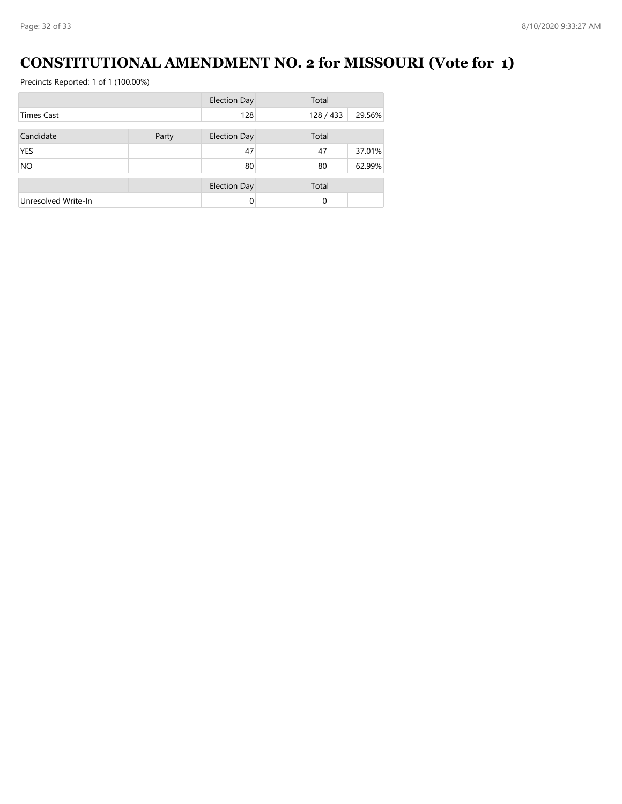# **CONSTITUTIONAL AMENDMENT NO. 2 for MISSOURI (Vote for 1)**

|                     |       | <b>Election Day</b> | Total   |        |
|---------------------|-------|---------------------|---------|--------|
| <b>Times Cast</b>   |       | 128                 | 128/433 | 29.56% |
|                     |       |                     |         |        |
| Candidate           | Party | <b>Election Day</b> | Total   |        |
| <b>YES</b>          |       | 47                  | 47      | 37.01% |
| <b>NO</b>           |       | 80                  | 80      | 62.99% |
|                     |       | <b>Election Day</b> | Total   |        |
| Unresolved Write-In |       | $\Omega$            | 0       |        |